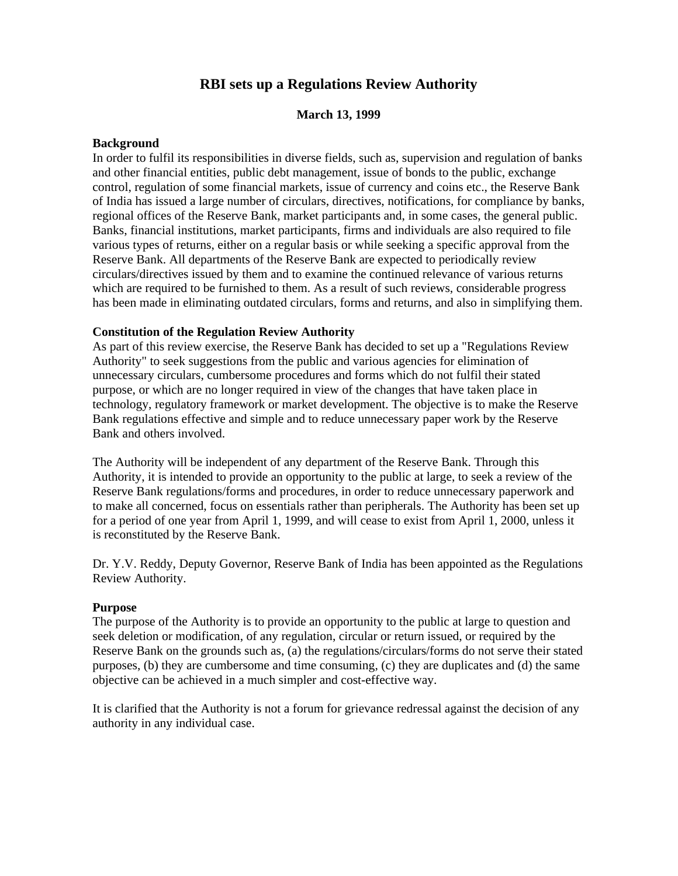# **RBI sets up a Regulations Review Authority**

#### **March 13, 1999**

#### **Background**

In order to fulfil its responsibilities in diverse fields, such as, supervision and regulation of banks and other financial entities, public debt management, issue of bonds to the public, exchange control, regulation of some financial markets, issue of currency and coins etc., the Reserve Bank of India has issued a large number of circulars, directives, notifications, for compliance by banks, regional offices of the Reserve Bank, market participants and, in some cases, the general public. Banks, financial institutions, market participants, firms and individuals are also required to file various types of returns, either on a regular basis or while seeking a specific approval from the Reserve Bank. All departments of the Reserve Bank are expected to periodically review circulars/directives issued by them and to examine the continued relevance of various returns which are required to be furnished to them. As a result of such reviews, considerable progress has been made in eliminating outdated circulars, forms and returns, and also in simplifying them.

#### **Constitution of the Regulation Review Authority**

As part of this review exercise, the Reserve Bank has decided to set up a "Regulations Review Authority" to seek suggestions from the public and various agencies for elimination of unnecessary circulars, cumbersome procedures and forms which do not fulfil their stated purpose, or which are no longer required in view of the changes that have taken place in technology, regulatory framework or market development. The objective is to make the Reserve Bank regulations effective and simple and to reduce unnecessary paper work by the Reserve Bank and others involved.

The Authority will be independent of any department of the Reserve Bank. Through this Authority, it is intended to provide an opportunity to the public at large, to seek a review of the Reserve Bank regulations/forms and procedures, in order to reduce unnecessary paperwork and to make all concerned, focus on essentials rather than peripherals. The Authority has been set up for a period of one year from April 1, 1999, and will cease to exist from April 1, 2000, unless it is reconstituted by the Reserve Bank.

Dr. Y.V. Reddy, Deputy Governor, Reserve Bank of India has been appointed as the Regulations Review Authority.

#### **Purpose**

The purpose of the Authority is to provide an opportunity to the public at large to question and seek deletion or modification, of any regulation, circular or return issued, or required by the Reserve Bank on the grounds such as, (a) the regulations/circulars/forms do not serve their stated purposes, (b) they are cumbersome and time consuming, (c) they are duplicates and (d) the same objective can be achieved in a much simpler and cost-effective way.

It is clarified that the Authority is not a forum for grievance redressal against the decision of any authority in any individual case.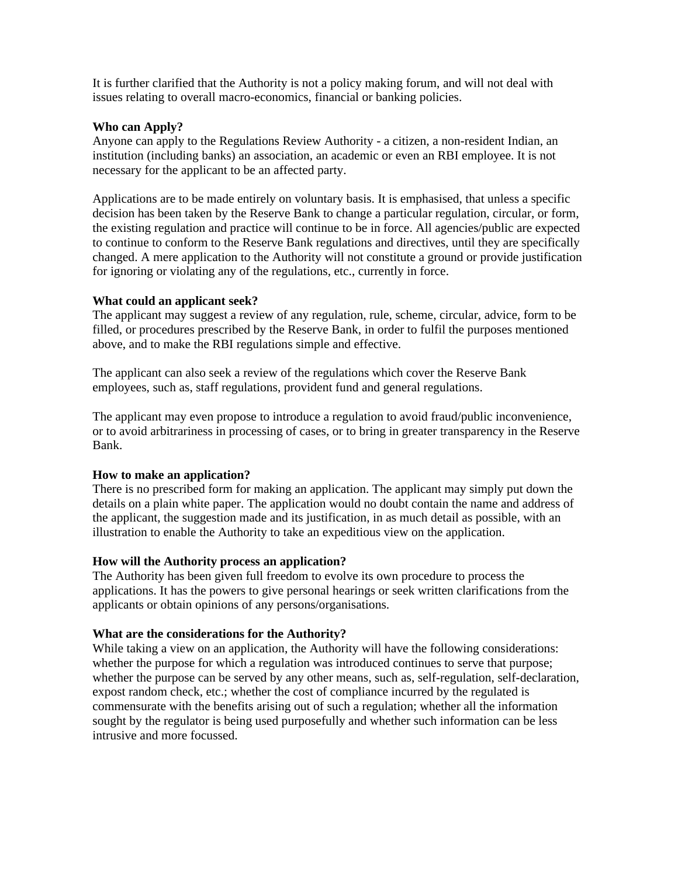It is further clarified that the Authority is not a policy making forum, and will not deal with issues relating to overall macro-economics, financial or banking policies.

#### **Who can Apply?**

Anyone can apply to the Regulations Review Authority - a citizen, a non-resident Indian, an institution (including banks) an association, an academic or even an RBI employee. It is not necessary for the applicant to be an affected party.

Applications are to be made entirely on voluntary basis. It is emphasised, that unless a specific decision has been taken by the Reserve Bank to change a particular regulation, circular, or form, the existing regulation and practice will continue to be in force. All agencies/public are expected to continue to conform to the Reserve Bank regulations and directives, until they are specifically changed. A mere application to the Authority will not constitute a ground or provide justification for ignoring or violating any of the regulations, etc., currently in force.

## **What could an applicant seek?**

The applicant may suggest a review of any regulation, rule, scheme, circular, advice, form to be filled, or procedures prescribed by the Reserve Bank, in order to fulfil the purposes mentioned above, and to make the RBI regulations simple and effective.

The applicant can also seek a review of the regulations which cover the Reserve Bank employees, such as, staff regulations, provident fund and general regulations.

The applicant may even propose to introduce a regulation to avoid fraud/public inconvenience, or to avoid arbitrariness in processing of cases, or to bring in greater transparency in the Reserve Bank.

## **How to make an application?**

There is no prescribed form for making an application. The applicant may simply put down the details on a plain white paper. The application would no doubt contain the name and address of the applicant, the suggestion made and its justification, in as much detail as possible, with an illustration to enable the Authority to take an expeditious view on the application.

## **How will the Authority process an application?**

The Authority has been given full freedom to evolve its own procedure to process the applications. It has the powers to give personal hearings or seek written clarifications from the applicants or obtain opinions of any persons/organisations.

#### **What are the considerations for the Authority?**

While taking a view on an application, the Authority will have the following considerations: whether the purpose for which a regulation was introduced continues to serve that purpose; whether the purpose can be served by any other means, such as, self-regulation, self-declaration, expost random check, etc.; whether the cost of compliance incurred by the regulated is commensurate with the benefits arising out of such a regulation; whether all the information sought by the regulator is being used purposefully and whether such information can be less intrusive and more focussed.